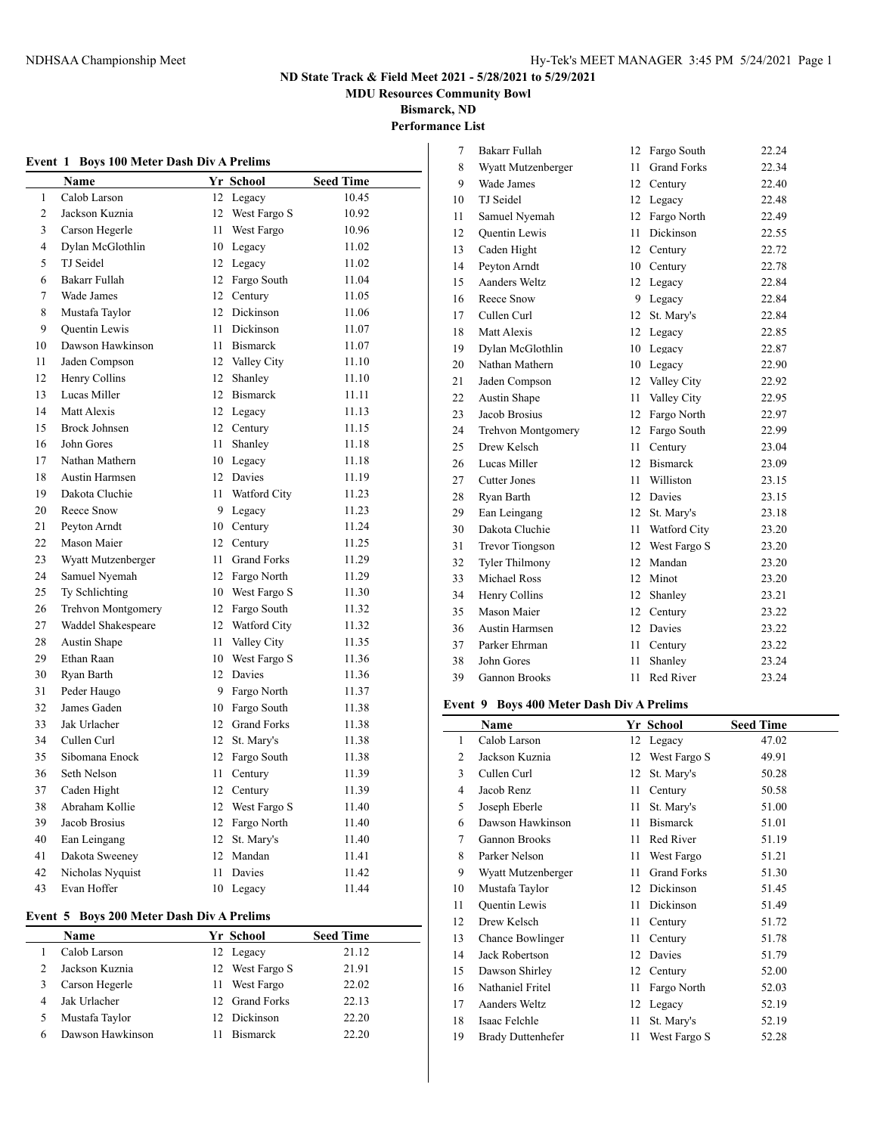**MDU Resources Community Bowl**

**Bismarck, ND**

**Performance List**

| <b>Boys 100 Meter Dash Div A Prelims</b><br>Event 1 |                           |    |                    |                  |  |
|-----------------------------------------------------|---------------------------|----|--------------------|------------------|--|
|                                                     | Name                      |    | Yr School          | <b>Seed Time</b> |  |
| 1                                                   | Calob Larson              |    | 12 Legacy          | 10.45            |  |
| 2                                                   | Jackson Kuznia            | 12 | West Fargo S       | 10.92            |  |
| 3                                                   | Carson Hegerle            | 11 | West Fargo         | 10.96            |  |
| $\overline{4}$                                      | Dylan McGlothlin          |    | 10 Legacy          | 11.02            |  |
| 5                                                   | TJ Seidel                 |    | 12 Legacy          | 11.02            |  |
| 6                                                   | Bakarr Fullah             |    | 12 Fargo South     | 11.04            |  |
| $\tau$                                              | Wade James                |    | 12 Century         | 11.05            |  |
| 8                                                   | Mustafa Taylor            |    | 12 Dickinson       | 11.06            |  |
| 9                                                   | <b>Ouentin Lewis</b>      | 11 | Dickinson          | 11.07            |  |
| 10                                                  | Dawson Hawkinson          | 11 | <b>Bismarck</b>    | 11.07            |  |
| 11                                                  | Jaden Compson             |    | 12 Valley City     | 11.10            |  |
| 12                                                  | Henry Collins             |    | 12 Shanley         | 11.10            |  |
| 13                                                  | Lucas Miller              |    | 12 Bismarck        | 11.11            |  |
| 14                                                  | Matt Alexis               |    | 12 Legacy          | 11.13            |  |
| 15                                                  | <b>Brock Johnsen</b>      |    | 12 Century         | 11.15            |  |
| 16                                                  | John Gores                | 11 | Shanley            | 11.18            |  |
| 17                                                  | Nathan Mathern            |    | 10 Legacy          | 11.18            |  |
| 18                                                  | <b>Austin Harmsen</b>     |    | 12 Davies          | 11.19            |  |
| 19                                                  | Dakota Cluchie            |    | 11 Watford City    | 11.23            |  |
| 20                                                  | Reece Snow                |    | 9 Legacy           | 11.23            |  |
| 21                                                  | Peyton Arndt              |    | 10 Century         | 11.24            |  |
| 22                                                  | Mason Maier               |    | 12 Century         | 11.25            |  |
| 23                                                  | Wyatt Mutzenberger        | 11 | <b>Grand Forks</b> | 11.29            |  |
| 24                                                  | Samuel Nyemah             |    | 12 Fargo North     | 11.29            |  |
| 25                                                  | Ty Schlichting            |    | 10 West Fargo S    | 11.30            |  |
| 26                                                  | <b>Trehvon Montgomery</b> |    | 12 Fargo South     | 11.32            |  |
| 27                                                  | Waddel Shakespeare        |    | 12 Watford City    | 11.32            |  |
| 28                                                  | Austin Shape              |    | 11 Valley City     | 11.35            |  |
| 29                                                  | Ethan Raan                |    | 10 West Fargo S    | 11.36            |  |
| 30                                                  | Ryan Barth                |    | 12 Davies          | 11.36            |  |
| 31                                                  | Peder Haugo               |    | 9 Fargo North      | 11.37            |  |
| 32                                                  | James Gaden               |    | 10 Fargo South     | 11.38            |  |
| 33                                                  | Jak Urlacher              |    | 12 Grand Forks     | 11.38            |  |
| 34                                                  | Cullen Curl               |    | 12 St. Mary's      | 11.38            |  |
| 35                                                  | Sibomana Enock            |    | 12 Fargo South     | 11.38            |  |
| 36                                                  | Seth Nelson               |    | 11 Century         | 11.39            |  |
| 37                                                  | Caden Hight               |    | 12 Century         | 11.39            |  |
| 38                                                  | Abraham Kollie            |    | 12 West Fargo S    | 11.40            |  |
| 39                                                  | Jacob Brosius             |    | 12 Fargo North     | 11.40            |  |
| 40                                                  | Ean Leingang              |    | 12 St. Mary's      | 11.40            |  |
| 41                                                  | Dakota Sweeney            |    | 12 Mandan          | 11.41            |  |
| 42                                                  | Nicholas Nyquist          | 11 | Davies             | 11.42            |  |
| 43                                                  | Evan Hoffer               |    | 10 Legacy          | 11.44            |  |

### **Event 5 Boys 200 Meter Dash Div A Prelims**

| <b>Name</b>      |     | Yr School       | <b>Seed Time</b> |
|------------------|-----|-----------------|------------------|
| Calob Larson     |     | 12 Legacy       | 21.12            |
| Jackson Kuznia   |     | 12 West Fargo S | 21.91            |
| Carson Hegerle   |     | 11 West Fargo   | 22.02            |
| Jak Urlacher     |     | 12 Grand Forks  | 22.13            |
| Mustafa Taylor   | 12. | Dickinson       | 22.20            |
| Dawson Hawkinson |     | <b>Bismarck</b> | 22.20            |

| 7  | Bakarr Fullah          | 12 | Fargo South        | 22.24 |
|----|------------------------|----|--------------------|-------|
| 8  | Wyatt Mutzenberger     | 11 | <b>Grand Forks</b> | 22.34 |
| 9  | Wade James             | 12 | Century            | 22.40 |
| 10 | TJ Seidel              | 12 | Legacy             | 22.48 |
| 11 | Samuel Nyemah          | 12 | Fargo North        | 22.49 |
| 12 | Quentin Lewis          | 11 | Dickinson          | 22.55 |
| 13 | Caden Hight            | 12 | Century            | 22.72 |
| 14 | Peyton Arndt           | 10 | Century            | 22.78 |
| 15 | <b>Aanders Weltz</b>   | 12 | Legacy             | 22.84 |
| 16 | Reece Snow             | 9  | Legacy             | 22.84 |
| 17 | Cullen Curl            | 12 | St. Mary's         | 22.84 |
| 18 | Matt Alexis            | 12 | Legacy             | 22.85 |
| 19 | Dylan McGlothlin       | 10 | Legacy             | 22.87 |
| 20 | Nathan Mathern         | 10 | Legacy             | 22.90 |
| 21 | Jaden Compson          | 12 | Valley City        | 22.92 |
| 22 | Austin Shape           | 11 | Valley City        | 22.95 |
| 23 | Jacob Brosius          | 12 | Fargo North        | 22.97 |
| 24 | Trehvon Montgomery     | 12 | Fargo South        | 22.99 |
| 25 | Drew Kelsch            | 11 | Century            | 23.04 |
| 26 | Lucas Miller           | 12 | <b>Bismarck</b>    | 23.09 |
| 27 | <b>Cutter Jones</b>    | 11 | Williston          | 23.15 |
| 28 | Ryan Barth             | 12 | Davies             | 23.15 |
| 29 | Ean Leingang           | 12 | St. Mary's         | 23.18 |
| 30 | Dakota Cluchie         | 11 | Watford City       | 23.20 |
| 31 | <b>Trevor Tiongson</b> | 12 | West Fargo S       | 23.20 |
| 32 | <b>Tyler Thilmony</b>  | 12 | Mandan             | 23.20 |
| 33 | <b>Michael Ross</b>    | 12 | Minot              | 23.20 |
| 34 | Henry Collins          | 12 | Shanley            | 23.21 |
| 35 | Mason Maier            | 12 | Century            | 23.22 |
| 36 | Austin Harmsen         | 12 | Davies             | 23.22 |
| 37 | Parker Ehrman          | 11 | Century            | 23.22 |
| 38 | John Gores             | 11 | Shanley            | 23.24 |
| 39 | <b>Gannon Brooks</b>   | 11 | Red River          | 23.24 |

### **Event 9 Boys 400 Meter Dash Div A Prelims**

|    | Name                 |    | Yr School          | <b>Seed Time</b> |
|----|----------------------|----|--------------------|------------------|
| 1  | Calob Larson         | 12 | Legacy             | 47.02            |
| 2  | Jackson Kuznia       | 12 | West Fargo S       | 49.91            |
| 3  | Cullen Curl          | 12 | St. Mary's         | 50.28            |
| 4  | Jacob Renz           | 11 | Century            | 50.58            |
| 5  | Joseph Eberle        | 11 | St. Mary's         | 51.00            |
| 6  | Dawson Hawkinson     | 11 | <b>Bismarck</b>    | 51.01            |
| 7  | Gannon Brooks        | 11 | Red River          | 51.19            |
| 8  | Parker Nelson        | 11 | West Fargo         | 51.21            |
| 9  | Wyatt Mutzenberger   | 11 | <b>Grand Forks</b> | 51.30            |
| 10 | Mustafa Taylor       | 12 | Dickinson          | 51.45            |
| 11 | Quentin Lewis        | 11 | Dickinson          | 51.49            |
| 12 | Drew Kelsch          | 11 | Century            | 51.72            |
| 13 | Chance Bowlinger     | 11 | Century            | 51.78            |
| 14 | Jack Robertson       | 12 | Davies             | 51.79            |
| 15 | Dawson Shirley       | 12 | Century            | 52.00            |
| 16 | Nathaniel Fritel     | 11 | Fargo North        | 52.03            |
| 17 | <b>Aanders Weltz</b> | 12 | Legacy             | 52.19            |
| 18 | Isaac Felchle        | 11 | St. Mary's         | 52.19            |
| 19 | Brady Duttenhefer    | 11 | West Fargo S       | 52.28            |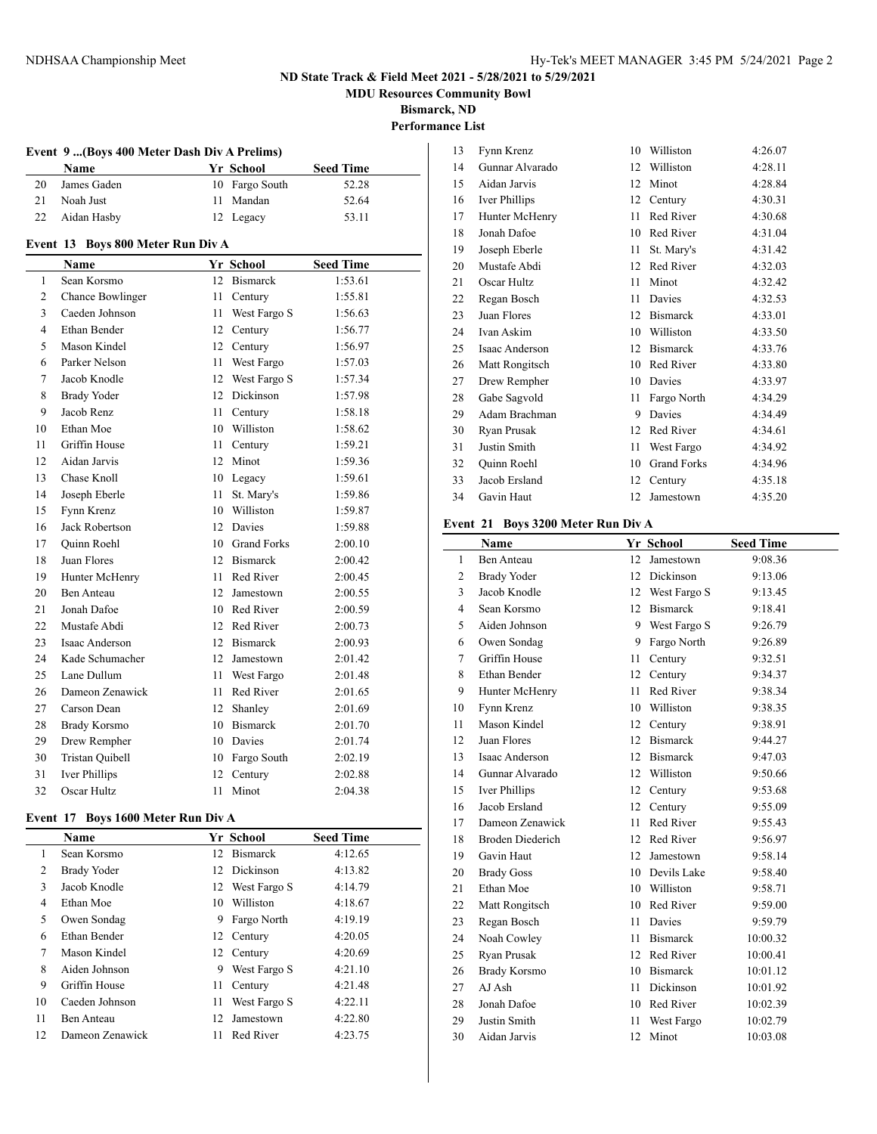**MDU Resources Community Bowl**

**Bismarck, ND**

**Performance List**

|    | Event 9 (Boys 400 Meter Dash Div A Prelims) |  |                |                  |  |
|----|---------------------------------------------|--|----------------|------------------|--|
|    | Name                                        |  | Yr School      | <b>Seed Time</b> |  |
| 20 | James Gaden                                 |  | 10 Fargo South | 52.28            |  |
| 21 | Noah Just                                   |  | 11 Mandan      | 52.64            |  |
| 22 | Aidan Hasby                                 |  | 12 Legacy      | 53.11            |  |

### **Event 13 Boys 800 Meter Run Div A**

|                | Name                  |    | Yr School       | <b>Seed Time</b> |  |  |
|----------------|-----------------------|----|-----------------|------------------|--|--|
| 1              | Sean Korsmo           | 12 | Bismarck        | 1:53.61          |  |  |
| $\overline{c}$ | Chance Bowlinger      | 11 | Century         | 1:55.81          |  |  |
| 3              | Caeden Johnson        | 11 | West Fargo S    | 1:56.63          |  |  |
| $\overline{4}$ | Ethan Bender          |    | 12 Century      | 1:56.77          |  |  |
| 5              | Mason Kindel          | 12 | Century         | 1:56.97          |  |  |
| 6              | Parker Nelson         | 11 | West Fargo      | 1:57.03          |  |  |
| $\tau$         | Jacob Knodle          |    | 12 West Fargo S | 1:57.34          |  |  |
| 8              | <b>Brady Yoder</b>    | 12 | Dickinson       | 1:57.98          |  |  |
| 9              | Jacob Renz            | 11 | Century         | 1:58.18          |  |  |
| 10             | Ethan Moe             | 10 | Williston       | 1:58.62          |  |  |
| 11             | Griffin House         | 11 | Century         | 1:59.21          |  |  |
| 12             | Aidan Jarvis          | 12 | Minot           | 1:59.36          |  |  |
| 13             | Chase Knoll           | 10 | Legacy          | 1:59.61          |  |  |
| 14             | Joseph Eberle         | 11 | St. Mary's      | 1:59.86          |  |  |
| 15             | Fynn Krenz            |    | 10 Williston    | 1:59.87          |  |  |
| 16             | <b>Jack Robertson</b> | 12 | Davies          | 1:59.88          |  |  |
| 17             | <b>Ouinn Roehl</b>    |    | 10 Grand Forks  | 2:00.10          |  |  |
| 18             | Juan Flores           | 12 | <b>Bismarck</b> | 2:00.42          |  |  |
| 19             | Hunter McHenry        | 11 | Red River       | 2:00.45          |  |  |
| 20             | <b>Ben Anteau</b>     |    | 12 Jamestown    | 2:00.55          |  |  |
| 21             | Jonah Dafoe           |    | 10 Red River    | 2:00.59          |  |  |
| 22             | Mustafe Abdi          |    | 12 Red River    | 2:00.73          |  |  |
| 23             | Isaac Anderson        |    | 12 Bismarck     | 2:00.93          |  |  |
| 24             | Kade Schumacher       |    | 12 Jamestown    | 2:01.42          |  |  |
| 25             | Lane Dullum           | 11 | West Fargo      | 2:01.48          |  |  |
| 26             | Dameon Zenawick       | 11 | Red River       | 2:01.65          |  |  |
| 27             | Carson Dean           | 12 | Shanley         | 2:01.69          |  |  |
| 28             | <b>Brady Korsmo</b>   |    | 10 Bismarck     | 2:01.70          |  |  |
| 29             | Drew Rempher          |    | 10 Davies       | 2:01.74          |  |  |
| 30             | Tristan Quibell       |    | 10 Fargo South  | 2:02.19          |  |  |
| 31             | Iver Phillips         | 12 | Century         | 2:02.88          |  |  |
| 32             | Oscar Hultz           | 11 | Minot           | 2:04.38          |  |  |

### **Event 17 Boys 1600 Meter Run Div A**

|    | <b>Name</b>     |                 | Yr School       | <b>Seed Time</b> |
|----|-----------------|-----------------|-----------------|------------------|
| 1  | Sean Korsmo     | 12 <sub>1</sub> | <b>Bismarck</b> | 4:12.65          |
| 2  | Brady Yoder     |                 | 12 Dickinson    | 4:13.82          |
| 3  | Jacob Knodle    |                 | 12 West Fargo S | 4:14.79          |
| 4  | Ethan Moe       | 10              | Williston       | 4:18.67          |
| 5  | Owen Sondag     | 9               | Fargo North     | 4:19.19          |
| 6  | Ethan Bender    |                 | 12 Century      | 4:20.05          |
| 7  | Mason Kindel    |                 | 12 Century      | 4:20.69          |
| 8  | Aiden Johnson   | 9               | West Fargo S    | 4:21.10          |
| 9  | Griffin House   | 11              | Century         | 4:21.48          |
| 10 | Caeden Johnson  | 11              | West Fargo S    | 4:22.11          |
| 11 | Ben Anteau      | 12              | Jamestown       | 4:22.80          |
| 12 | Dameon Zenawick | 11              | Red River       | 4:23.75          |

| 13 | Fynn Krenz      | 10 | Williston          | 4:26.07 |
|----|-----------------|----|--------------------|---------|
| 14 | Gunnar Alvarado | 12 | Williston          | 4:28.11 |
| 15 | Aidan Jarvis    | 12 | Minot              | 4:28.84 |
| 16 | Iver Phillips   | 12 | Century            | 4:30.31 |
| 17 | Hunter McHenry  | 11 | Red River          | 4:30.68 |
| 18 | Jonah Dafoe     | 10 | Red River          | 4:31.04 |
| 19 | Joseph Eberle   | 11 | St. Mary's         | 4:31.42 |
| 20 | Mustafe Abdi    | 12 | Red River          | 4:32.03 |
| 21 | Oscar Hultz     | 11 | Minot              | 4:32.42 |
| 22 | Regan Bosch     | 11 | Davies             | 4:32.53 |
| 23 | Juan Flores     | 12 | <b>Bismarck</b>    | 4:33.01 |
| 24 | Ivan Askim      | 10 | Williston          | 4:33.50 |
| 25 | Isaac Anderson  | 12 | <b>Bismarck</b>    | 4:33.76 |
| 26 | Matt Rongitsch  | 10 | Red River          | 4:33.80 |
| 27 | Drew Rempher    | 10 | Davies             | 4:33.97 |
| 28 | Gabe Sagvold    | 11 | Fargo North        | 4:34.29 |
| 29 | Adam Brachman   | 9  | Davies             | 4:34.49 |
| 30 | Ryan Prusak     | 12 | Red River          | 4:34.61 |
| 31 | Justin Smith    | 11 | West Fargo         | 4:34.92 |
| 32 | Quinn Roehl     | 10 | <b>Grand Forks</b> | 4:34.96 |
| 33 | Jacob Ersland   | 12 | Century            | 4:35.18 |
| 34 | Gavin Haut      | 12 | Jamestown          | 4:35.20 |
|    |                 |    |                    |         |

#### **Event 21 Boys 3200 Meter Run Div A**

|                | Name                    |    | Yr School       | <b>Seed Time</b> |
|----------------|-------------------------|----|-----------------|------------------|
| 1              | <b>Ben Anteau</b>       | 12 | Jamestown       | 9:08.36          |
| 2              | <b>Brady Yoder</b>      | 12 | Dickinson       | 9:13.06          |
| 3              | Jacob Knodle            | 12 | West Fargo S    | 9:13.45          |
| $\overline{4}$ | Sean Korsmo             | 12 | <b>Bismarck</b> | 9:18.41          |
| 5              | Aiden Johnson           |    | 9 West Fargo S  | 9:26.79          |
| 6              | Owen Sondag             | 9  | Fargo North     | 9:26.89          |
| 7              | Griffin House           | 11 | Century         | 9:32.51          |
| 8              | Ethan Bender            | 12 | Century         | 9:34.37          |
| 9              | Hunter McHenry          | 11 | Red River       | 9:38.34          |
| 10             | Fynn Krenz              | 10 | Williston       | 9:38.35          |
| 11             | Mason Kindel            | 12 | Century         | 9:38.91          |
| 12             | Juan Flores             | 12 | <b>Bismarck</b> | 9:44.27          |
| 13             | Isaac Anderson          | 12 | <b>Bismarck</b> | 9:47.03          |
| 14             | Gunnar Alvarado         | 12 | Williston       | 9:50.66          |
| 15             | Iver Phillips           | 12 | Century         | 9:53.68          |
| 16             | Jacob Ersland           | 12 | Century         | 9:55.09          |
| 17             | Dameon Zenawick         | 11 | Red River       | 9:55.43          |
| 18             | <b>Broden Diederich</b> | 12 | Red River       | 9:56.97          |
| 19             | Gavin Haut              | 12 | Jamestown       | 9:58.14          |
| 20             | <b>Brady Goss</b>       | 10 | Devils Lake     | 9:58.40          |
| 21             | Ethan Moe               | 10 | Williston       | 9:58.71          |
| 22             | Matt Rongitsch          | 10 | Red River       | 9:59.00          |
| 23             | Regan Bosch             | 11 | Davies          | 9:59.79          |
| 24             | Noah Cowley             | 11 | <b>Bismarck</b> | 10:00.32         |
| 25             | Ryan Prusak             | 12 | Red River       | 10:00.41         |
| 26             | <b>Brady Korsmo</b>     | 10 | <b>Bismarck</b> | 10:01.12         |
| 27             | AJ Ash                  | 11 | Dickinson       | 10:01.92         |
| 28             | Jonah Dafoe             | 10 | Red River       | 10:02.39         |
| 29             | Justin Smith            | 11 | West Fargo      | 10:02.79         |
| 30             | Aidan Jarvis            | 12 | Minot           | 10:03.08         |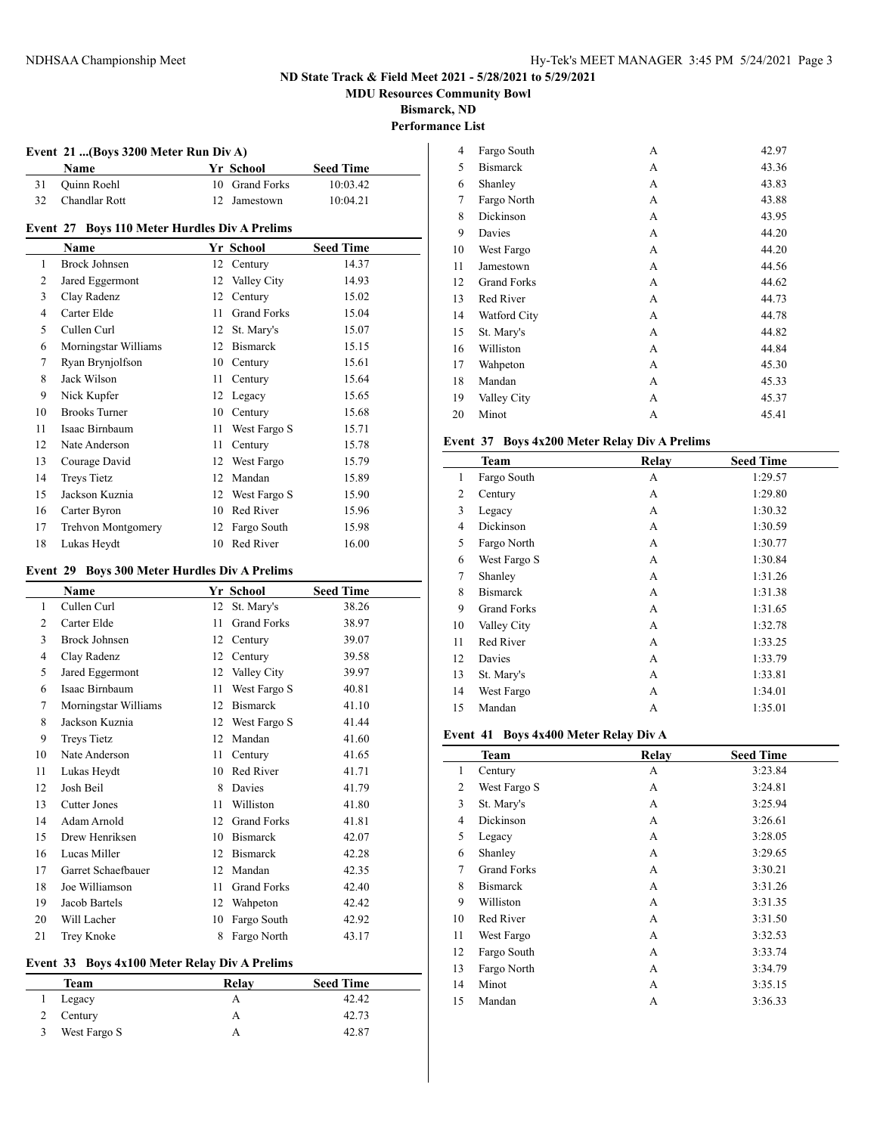**MDU Resources Community Bowl**

**Bismarck, ND**

 $\overline{a}$ 

# **Performance List**

| Event 21 (Boys 3200 Meter Run Div A) |                                               |    |                    |                  |  |
|--------------------------------------|-----------------------------------------------|----|--------------------|------------------|--|
|                                      | Name                                          |    | Yr School          | <b>Seed Time</b> |  |
| 31                                   | Quinn Roehl                                   | 10 | <b>Grand Forks</b> | 10:03.42         |  |
| 32                                   | Chandlar Rott                                 | 12 | Jamestown          | 10:04.21         |  |
|                                      | Event 27 Boys 110 Meter Hurdles Div A Prelims |    |                    |                  |  |
|                                      | Name                                          |    | Yr School          | <b>Seed Time</b> |  |
| 1                                    | <b>Brock Johnsen</b>                          | 12 | Century            | 14.37            |  |
| 2                                    | Jared Eggermont                               | 12 | Valley City        | 14.93            |  |
| 3                                    | Clay Radenz                                   | 12 | Century            | 15.02            |  |
| 4                                    | Carter Elde                                   | 11 | <b>Grand Forks</b> | 15.04            |  |
| 5                                    | Cullen Curl                                   | 12 | St. Mary's         | 15.07            |  |
| 6                                    | Morningstar Williams                          | 12 | <b>Bismarck</b>    | 15.15            |  |
| 7                                    | Ryan Brynjolfson                              | 10 | Century            | 15.61            |  |
| 8                                    | Jack Wilson                                   | 11 | Century            | 15.64            |  |
| 9                                    | Nick Kupfer                                   | 12 | Legacy             | 15.65            |  |
| 10                                   | <b>Brooks Turner</b>                          | 10 | Century            | 15.68            |  |
| 11                                   | Isaac Birnbaum                                | 11 | West Fargo S       | 15.71            |  |
| 12                                   | Nate Anderson                                 | 11 | Century            | 15.78            |  |
| 13                                   | Courage David                                 | 12 | West Fargo         | 15.79            |  |
| 14                                   | <b>Treys Tietz</b>                            | 12 | Mandan             | 15.89            |  |
| 15                                   | Jackson Kuznia                                | 12 | West Fargo S       | 15.90            |  |

### **Event 29 Boys 300 Meter Hurdles Div A Prelims**

16 Carter Byron 10 Red River 15.96 Trehvon Montgomery 12 Fargo South 15.98 18 Lukas Heydt 10 Red River 16.00

|    | $\frac{1}{2}$ boys coomed in the division of $\frac{1}{2}$ |    |                    |                  |
|----|------------------------------------------------------------|----|--------------------|------------------|
|    | Name                                                       |    | Yr School          | <b>Seed Time</b> |
| 1  | Cullen Curl                                                | 12 | St. Mary's         | 38.26            |
| 2  | Carter Elde                                                | 11 | <b>Grand Forks</b> | 38.97            |
| 3  | <b>Brock Johnsen</b>                                       | 12 | Century            | 39.07            |
| 4  | Clay Radenz                                                | 12 | Century            | 39.58            |
| 5  | Jared Eggermont                                            | 12 | Valley City        | 39.97            |
| 6  | Isaac Birnbaum                                             | 11 | West Fargo S       | 40.81            |
| 7  | Morningstar Williams                                       | 12 | <b>Bismarck</b>    | 41.10            |
| 8  | Jackson Kuznia                                             | 12 | West Fargo S       | 41.44            |
| 9  | <b>Treys Tietz</b>                                         | 12 | Mandan             | 41.60            |
| 10 | Nate Anderson                                              | 11 | Century            | 41.65            |
| 11 | Lukas Heydt                                                | 10 | Red River          | 41.71            |
| 12 | Josh Beil                                                  | 8  | Davies             | 41.79            |
| 13 | <b>Cutter Jones</b>                                        | 11 | Williston          | 41.80            |
| 14 | Adam Arnold                                                | 12 | <b>Grand Forks</b> | 41.81            |
| 15 | Drew Henriksen                                             | 10 | <b>Bismarck</b>    | 42.07            |
| 16 | Lucas Miller                                               | 12 | <b>Bismarck</b>    | 42.28            |
| 17 | Garret Schaefbauer                                         | 12 | Mandan             | 42.35            |
| 18 | Joe Williamson                                             | 11 | <b>Grand Forks</b> | 42.40            |
| 19 | Jacob Bartels                                              | 12 | Wahpeton           | 42.42            |
| 20 | Will Lacher                                                | 10 | Fargo South        | 42.92            |
| 21 | Trey Knoke                                                 | 8  | Fargo North        | 43.17            |

#### **Event 33 Boys 4x100 Meter Relay Div A Prelims**

| Team         | Relav | <b>Seed Time</b> |
|--------------|-------|------------------|
| Legacy       |       | 42.42            |
| Century      |       | 42.73            |
| West Fargo S |       | 42.87            |

| 4  | Fargo South        | А | 42.97 |
|----|--------------------|---|-------|
| 5  | <b>Bismarck</b>    | А | 43.36 |
| 6  | Shanley            | А | 43.83 |
| 7  | Fargo North        | А | 43.88 |
| 8  | Dickinson          | А | 43.95 |
| 9  | Davies             | А | 44.20 |
| 10 | West Fargo         | А | 44.20 |
| 11 | Jamestown          | А | 44.56 |
| 12 | <b>Grand Forks</b> | А | 44.62 |
| 13 | Red River          | А | 44.73 |
| 14 | Watford City       | А | 44.78 |
| 15 | St. Mary's         | А | 44.82 |
| 16 | Williston          | А | 44.84 |
| 17 | Wahpeton           | А | 45.30 |
| 18 | Mandan             | А | 45.33 |
| 19 | Valley City        | А | 45.37 |
| 20 | Minot              | А | 45.41 |

### **Event 37 Boys 4x200 Meter Relay Div A Prelims**

|                | Team               | Relay | <b>Seed Time</b> |
|----------------|--------------------|-------|------------------|
| 1              | Fargo South        | А     | 1:29.57          |
| 2              | Century            | A     | 1:29.80          |
| 3              | Legacy             | A     | 1:30.32          |
| $\overline{4}$ | Dickinson          | A     | 1:30.59          |
| 5              | Fargo North        | A     | 1:30.77          |
| 6              | West Fargo S       | A     | 1:30.84          |
| 7              | Shanley            | A     | 1:31.26          |
| 8              | <b>Bismarck</b>    | A     | 1:31.38          |
| 9              | <b>Grand Forks</b> | А     | 1:31.65          |
| 10             | Valley City        | A     | 1:32.78          |
| 11             | Red River          | А     | 1:33.25          |
| 12             | Davies             | A     | 1:33.79          |
| 13             | St. Mary's         | A     | 1:33.81          |
| 14             | West Fargo         | А     | 1:34.01          |
| 15             | Mandan             | A     | 1:35.01          |

### **Event 41 Boys 4x400 Meter Relay Div A**

|    | Team               | Relay | <b>Seed Time</b> |
|----|--------------------|-------|------------------|
| 1  | Century            | А     | 3:23.84          |
| 2  | West Fargo S       | А     | 3:24.81          |
| 3  | St. Mary's         | А     | 3:25.94          |
| 4  | Dickinson          | А     | 3:26.61          |
| 5  | Legacy             | А     | 3:28.05          |
| 6  | Shanley            | А     | 3:29.65          |
| 7  | <b>Grand Forks</b> | А     | 3:30.21          |
| 8  | <b>Bismarck</b>    | А     | 3:31.26          |
| 9  | Williston          | A     | 3:31.35          |
| 10 | Red River          | A     | 3:31.50          |
| 11 | West Fargo         | А     | 3:32.53          |
| 12 | Fargo South        | A     | 3:33.74          |
| 13 | Fargo North        | А     | 3:34.79          |
| 14 | Minot              | А     | 3:35.15          |
| 15 | Mandan             | А     | 3:36.33          |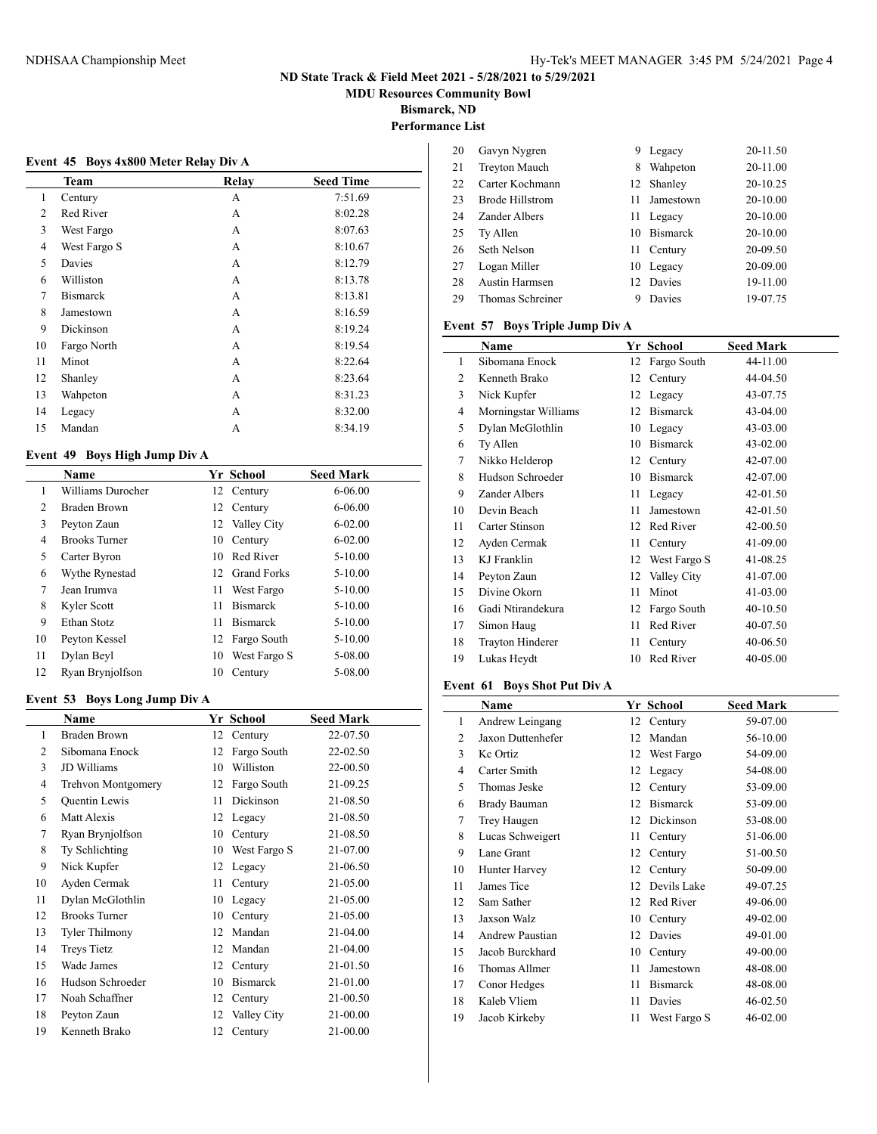**MDU Resources Community Bowl**

**Bismarck, ND**

## **Performance List**

| Event 45 Boys 4x800 Meter Relay Div A |                 |       |                  |  |  |
|---------------------------------------|-----------------|-------|------------------|--|--|
|                                       | Team            | Relay | <b>Seed Time</b> |  |  |
| 1                                     | Century         | A     | 7:51.69          |  |  |
| $\mathfrak{D}$                        | Red River       | A     | 8:02.28          |  |  |
| 3                                     | West Fargo      | A     | 8:07.63          |  |  |
| 4                                     | West Fargo S    | A     | 8:10.67          |  |  |
| 5                                     | Davies          | A     | 8:12.79          |  |  |
| 6                                     | Williston       | A     | 8:13.78          |  |  |
| 7                                     | <b>Bismarck</b> | A     | 8:13.81          |  |  |
| 8                                     | Jamestown       | A     | 8:16.59          |  |  |
| 9                                     | Dickinson       | A     | 8:19.24          |  |  |
| 10                                    | Fargo North     | A     | 8:19.54          |  |  |
| 11                                    | Minot           | A     | 8:22.64          |  |  |
| 12                                    | Shanley         | A     | 8:23.64          |  |  |
| 13                                    | Wahpeton        | A     | 8:31.23          |  |  |
| 14                                    | Legacy          | A     | 8:32.00          |  |  |
| 15                                    | Mandan          | А     | 8:34.19          |  |  |

### **Event 49 Boys High Jump Div A**

|    | Name                 |    | Yr School          | <b>Seed Mark</b> |
|----|----------------------|----|--------------------|------------------|
|    | Williams Durocher    |    | 12 Century         | $6 - 06.00$      |
| 2  | Braden Brown         | 12 | Century            | $6 - 06.00$      |
| 3  | Peyton Zaun          |    | 12 Valley City     | $6 - 02.00$      |
| 4  | <b>Brooks</b> Turner | 10 | Century            | $6 - 02.00$      |
| 5  | Carter Byron         | 10 | Red River          | $5 - 10.00$      |
| 6  | Wythe Rynestad       | 12 | <b>Grand Forks</b> | $5 - 10.00$      |
| 7  | Jean Irumva          | 11 | West Fargo         | $5 - 10.00$      |
| 8  | Kyler Scott          | 11 | <b>Bismarck</b>    | $5 - 10.00$      |
| 9  | Ethan Stotz          | 11 | <b>Bismarck</b>    | $5 - 10.00$      |
| 10 | Peyton Kessel        | 12 | Fargo South        | $5 - 10.00$      |
| 11 | Dylan Beyl           | 10 | West Fargo S       | 5-08.00          |
| 12 | Ryan Brynjolfson     | 10 | Century            | 5-08.00          |

### **Event 53 Boys Long Jump Div A**

 $\overline{a}$ 

|                | <b>Name</b>           |    | Yr School    | <b>Seed Mark</b> |
|----------------|-----------------------|----|--------------|------------------|
| 1              | <b>Braden Brown</b>   | 12 | Century      | 22-07.50         |
| $\overline{c}$ | Sibomana Enock        | 12 | Fargo South  | 22-02.50         |
| 3              | JD Williams           | 10 | Williston    | 22-00.50         |
| 4              | Trehvon Montgomery    | 12 | Fargo South  | 21-09.25         |
| 5              | <b>Quentin Lewis</b>  | 11 | Dickinson    | 21-08.50         |
| 6              | Matt Alexis           |    | 12 Legacy    | 21-08.50         |
| 7              | Ryan Brynjolfson      | 10 | Century      | 21-08.50         |
| 8              | Ty Schlichting        | 10 | West Fargo S | 21-07.00         |
| 9              | Nick Kupfer           | 12 | Legacy       | 21-06.50         |
| 10             | Ayden Cermak          | 11 | Century      | 21-05.00         |
| 11             | Dylan McGlothlin      | 10 | Legacy       | 21-05.00         |
| 12             | <b>Brooks Turner</b>  | 10 | Century      | 21-05.00         |
| 13             | <b>Tyler Thilmony</b> | 12 | Mandan       | $21 - 04.00$     |
| 14             | <b>Treys Tietz</b>    | 12 | Mandan       | 21-04.00         |
| 15             | Wade James            | 12 | Century      | 21-01.50         |
| 16             | Hudson Schroeder      | 10 | Bismarck     | 21-01.00         |
| 17             | Noah Schaffner        | 12 | Century      | 21-00.50         |
| 18             | Peyton Zaun           | 12 | Valley City  | 21-00.00         |
| 19             | Kenneth Brako         | 12 | Century      | 21-00.00         |

| 20 | Gavyn Nygren           | 9   | Legacy          | 20-11.50 |
|----|------------------------|-----|-----------------|----------|
| 21 | <b>Treyton Mauch</b>   | 8   | Wahpeton        | 20-11.00 |
| 22 | Carter Kochmann        | 12  | Shanley         | 20-10.25 |
| 23 | <b>Brode Hillstrom</b> | 11  | Jamestown       | 20-10.00 |
| 24 | Zander Albers          | 11  | Legacy          | 20-10.00 |
| 25 | Ty Allen               | 10  | <b>Bismarck</b> | 20-10.00 |
| 26 | Seth Nelson            | 11. | Century         | 20-09.50 |
| 27 | Logan Miller           |     | 10 Legacy       | 20-09.00 |
| 28 | <b>Austin Harmsen</b>  |     | 12 Davies       | 19-11.00 |
| 29 | Thomas Schreiner       |     | Davies          | 19-07.75 |

### **Event 57 Boys Triple Jump Div A**

|    | Name                    |    | Yr School       | <b>Seed Mark</b> |
|----|-------------------------|----|-----------------|------------------|
| 1  | Sibomana Enock          | 12 | Fargo South     | 44-11.00         |
| 2  | Kenneth Brako           | 12 | Century         | 44-04.50         |
| 3  | Nick Kupfer             | 12 | Legacy          | 43-07.75         |
| 4  | Morningstar Williams    | 12 | <b>Bismarck</b> | 43-04.00         |
| 5  | Dylan McGlothlin        | 10 | Legacy          | 43-03.00         |
| 6  | Ty Allen                | 10 | <b>Bismarck</b> | 43-02.00         |
| 7  | Nikko Helderop          | 12 | Century         | 42-07.00         |
| 8  | Hudson Schroeder        | 10 | <b>Bismarck</b> | 42-07.00         |
| 9  | Zander Albers           | 11 | Legacy          | 42-01.50         |
| 10 | Devin Beach             | 11 | Jamestown       | 42-01.50         |
| 11 | Carter Stinson          | 12 | Red River       | 42-00.50         |
| 12 | Ayden Cermak            | 11 | Century         | 41-09.00         |
| 13 | KJ Franklin             | 12 | West Fargo S    | 41-08.25         |
| 14 | Peyton Zaun             | 12 | Valley City     | 41-07.00         |
| 15 | Divine Okorn            | 11 | Minot           | 41-03.00         |
| 16 | Gadi Ntirandekura       | 12 | Fargo South     | 40-10.50         |
| 17 | Simon Haug              | 11 | Red River       | 40-07.50         |
| 18 | <b>Trayton Hinderer</b> | 11 | Century         | 40-06.50         |
| 19 | Lukas Heydt             | 10 | Red River       | 40-05.00         |
|    |                         |    |                 |                  |

### **Event 61 Boys Shot Put Div A**

|    | Name                   |    | Yr School       | <b>Seed Mark</b> |
|----|------------------------|----|-----------------|------------------|
| 1  | Andrew Leingang        | 12 | Century         | 59-07.00         |
| 2  | Jaxon Duttenhefer      | 12 | Mandan          | 56-10.00         |
| 3  | Ke Ortiz               | 12 | West Fargo      | 54-09.00         |
| 4  | Carter Smith           | 12 | Legacy          | 54-08.00         |
| 5  | Thomas Jeske           | 12 | Century         | 53-09.00         |
| 6  | Brady Bauman           | 12 | <b>Bismarck</b> | 53-09.00         |
| 7  | Trey Haugen            | 12 | Dickinson       | 53-08.00         |
| 8  | Lucas Schweigert       | 11 | Century         | 51-06.00         |
| 9  | Lane Grant             | 12 | Century         | 51-00.50         |
| 10 | Hunter Harvey          | 12 | Century         | 50-09.00         |
| 11 | James Tice             | 12 | Devils Lake     | 49-07.25         |
| 12 | Sam Sather             | 12 | Red River       | 49-06.00         |
| 13 | Jaxson Walz            | 10 | Century         | 49-02.00         |
| 14 | <b>Andrew Paustian</b> | 12 | Davies          | 49-01.00         |
| 15 | Jacob Burckhard        | 10 | Century         | 49-00.00         |
| 16 | Thomas Allmer          | 11 | Jamestown       | 48-08.00         |
| 17 | Conor Hedges           | 11 | <b>Bismarck</b> | 48-08.00         |
| 18 | Kaleb Vliem            | 11 | Davies          | 46-02.50         |
| 19 | Jacob Kirkeby          | 11 | West Fargo S    | 46-02.00         |